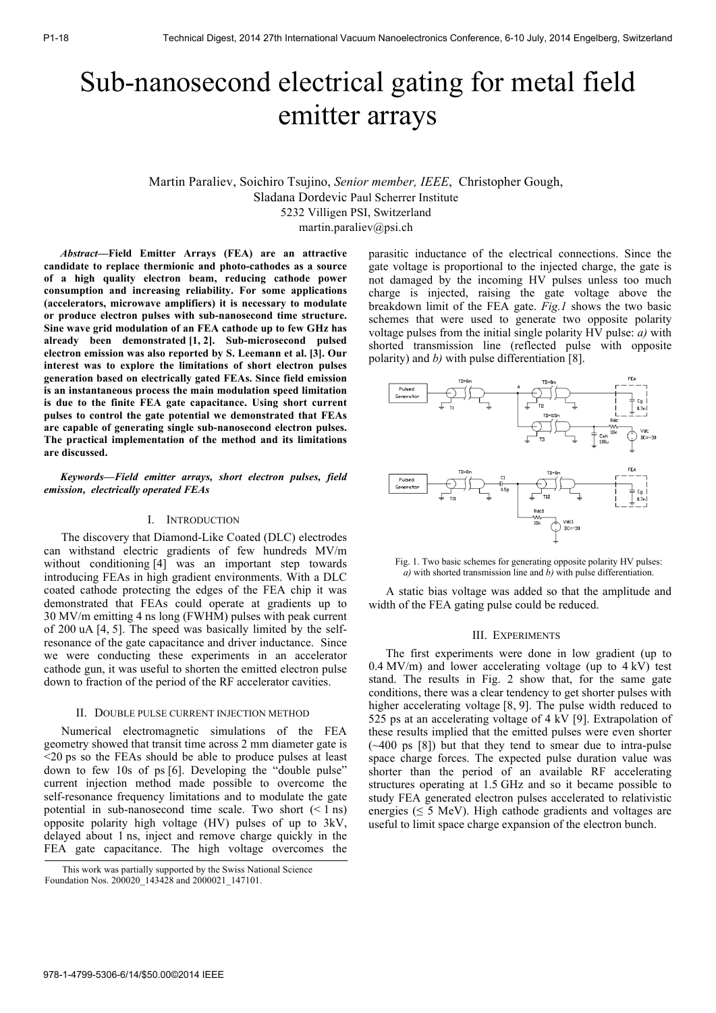# Sub-nanosecond electrical gating for metal field emitter arrays

Martin Paraliev, Soichiro Tsujino, *Senior member, IEEE*, Christopher Gough, Sladana Dordevic Paul Scherrer Institute 5232 Villigen PSI, Switzerland martin.paraliev@psi.ch

*Abstract***—Field Emitter Arrays (FEA) are an attractive candidate to replace thermionic and photo-cathodes as a source of a high quality electron beam, reducing cathode power consumption and increasing reliability. For some applications (accelerators, microwave amplifiers) it is necessary to modulate or produce electron pulses with sub-nanosecond time structure. Sine wave grid modulation of an FEA cathode up to few GHz has already been demonstrated [1, 2]. Sub-microsecond pulsed electron emission was also reported by S. Leemann et al. [3]. Our interest was to explore the limitations of short electron pulses generation based on electrically gated FEAs. Since field emission is an instantaneous process the main modulation speed limitation is due to the finite FEA gate capacitance. Using short current pulses to control the gate potential we demonstrated that FEAs are capable of generating single sub-nanosecond electron pulses. The practical implementation of the method and its limitations are discussed.** 

*Keywords—Field emitter arrays, short electron pulses, field emission, electrically operated FEAs*

# I. INTRODUCTION

The discovery that Diamond-Like Coated (DLC) electrodes can withstand electric gradients of few hundreds MV/m without conditioning [4] was an important step towards introducing FEAs in high gradient environments. With a DLC coated cathode protecting the edges of the FEA chip it was demonstrated that FEAs could operate at gradients up to 30 MV/m emitting 4 ns long (FWHM) pulses with peak current of 200 uA [4, 5]. The speed was basically limited by the selfresonance of the gate capacitance and driver inductance. Since we were conducting these experiments in an accelerator cathode gun, it was useful to shorten the emitted electron pulse down to fraction of the period of the RF accelerator cavities.

## II. DOUBLE PULSE CURRENT INJECTION METHOD

Numerical electromagnetic simulations of the FEA geometry showed that transit time across 2 mm diameter gate is <20 ps so the FEAs should be able to produce pulses at least down to few 10s of ps [6]. Developing the "double pulse" current injection method made possible to overcome the self-resonance frequency limitations and to modulate the gate potential in sub-nanosecond time scale. Two short  $(< 1 \text{ ns})$ opposite polarity high voltage (HV) pulses of up to 3kV, delayed about 1 ns, inject and remove charge quickly in the FEA gate capacitance. The high voltage overcomes the parasitic inductance of the electrical connections. Since the gate voltage is proportional to the injected charge, the gate is not damaged by the incoming HV pulses unless too much charge is injected, raising the gate voltage above the breakdown limit of the FEA gate. *Fig.1* shows the two basic schemes that were used to generate two opposite polarity voltage pulses from the initial single polarity HV pulse: *a)* with shorted transmission line (reflected pulse with opposite polarity) and *b)* with pulse differentiation [8].



Fig. 1. Two basic schemes for generating opposite polarity HV pulses: *a)* with shorted transmission line and *b)* with pulse differentiation.

A static bias voltage was added so that the amplitude and width of the FEA gating pulse could be reduced.

#### III. EXPERIMENTS

The first experiments were done in low gradient (up to 0.4 MV/m) and lower accelerating voltage (up to  $4 \text{ kV}$ ) test stand. The results in Fig. 2 show that, for the same gate conditions, there was a clear tendency to get shorter pulses with higher accelerating voltage [8, 9]. The pulse width reduced to 525 ps at an accelerating voltage of 4 kV [9]. Extrapolation of these results implied that the emitted pulses were even shorter  $(\sim 400 \text{ ps } [8])$  but that they tend to smear due to intra-pulse space charge forces. The expected pulse duration value was shorter than the period of an available RF accelerating structures operating at 1.5 GHz and so it became possible to study FEA generated electron pulses accelerated to relativistic energies ( $\leq$  5 MeV). High cathode gradients and voltages are useful to limit space charge expansion of the electron bunch.

This work was partially supported by the Swiss National Science Foundation Nos. 200020\_143428 and 2000021\_147101.